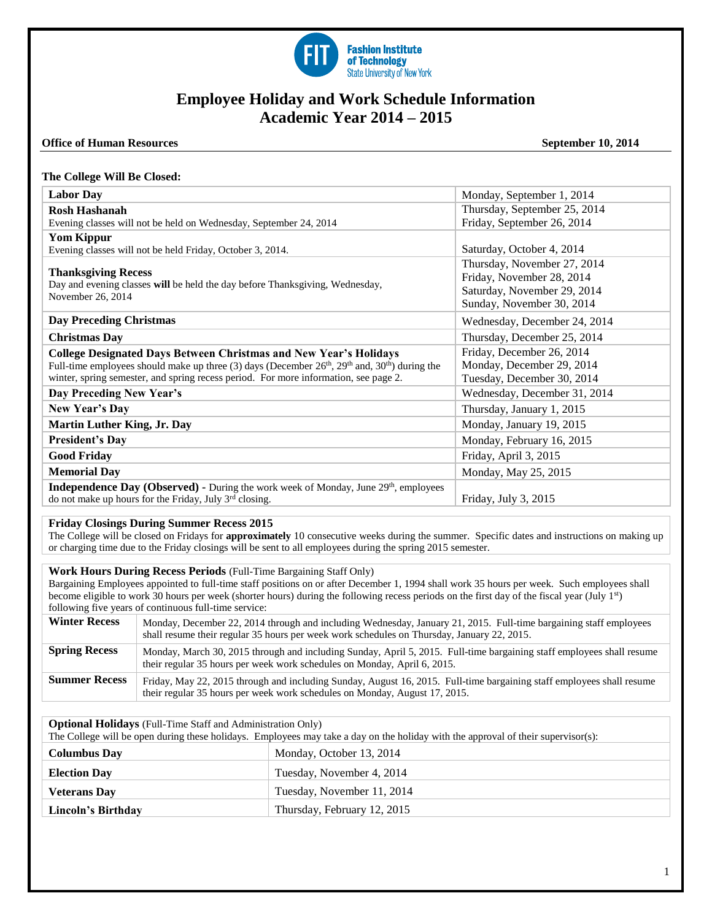

# **Employee Holiday and Work Schedule Information Academic Year 2014 – 2015**

### **Office of Human Resources** September 10, 2014

### **The College Will Be Closed:**

| Monday, September 1, 2014    |
|------------------------------|
| Thursday, September 25, 2014 |
| Friday, September 26, 2014   |
|                              |
| Saturday, October 4, 2014    |
| Thursday, November 27, 2014  |
| Friday, November 28, 2014    |
| Saturday, November 29, 2014  |
| Sunday, November 30, 2014    |
| Wednesday, December 24, 2014 |
| Thursday, December 25, 2014  |
| Friday, December 26, 2014    |
| Monday, December 29, 2014    |
| Tuesday, December 30, 2014   |
| Wednesday, December 31, 2014 |
| Thursday, January 1, 2015    |
| Monday, January 19, 2015     |
| Monday, February 16, 2015    |
| Friday, April 3, 2015        |
| Monday, May 25, 2015         |
|                              |
| Friday, July 3, 2015         |
|                              |

# **Friday Closings During Summer Recess 2015**

The College will be closed on Fridays for **approximately** 10 consecutive weeks during the summer. Specific dates and instructions on making up or charging time due to the Friday closings will be sent to all employees during the spring 2015 semester.

## **Work Hours During Recess Periods** (Full-Time Bargaining Staff Only)

Bargaining Employees appointed to full-time staff positions on or after December 1, 1994 shall work 35 hours per week. Such employees shall become eligible to work 30 hours per week (shorter hours) during the following recess periods on the first day of the fiscal year (July 1<sup>st</sup>) following five years of continuous full-time service:

| <b>Winter Recess</b> | Monday, December 22, 2014 through and including Wednesday, January 21, 2015. Full-time bargaining staff employees<br>shall resume their regular 35 hours per week work schedules on Thursday, January 22, 2015. |
|----------------------|-----------------------------------------------------------------------------------------------------------------------------------------------------------------------------------------------------------------|
| <b>Spring Recess</b> | Monday, March 30, 2015 through and including Sunday, April 5, 2015. Full-time bargaining staff employees shall resume<br>their regular 35 hours per week work schedules on Monday, April 6, 2015.               |
| <b>Summer Recess</b> | Friday, May 22, 2015 through and including Sunday, August 16, 2015. Full-time bargaining staff employees shall resume<br>their regular 35 hours per week work schedules on Monday, August 17, 2015.             |

**Optional Holidays** (Full-Time Staff and Administration Only)

The College will be open during these holidays. Employees may take a day on the holiday with the approval of their supervisor(s):

| <b>Columbus Day</b> | Monday, October 13, 2014    |
|---------------------|-----------------------------|
| <b>Election Day</b> | Tuesday, November 4, 2014   |
| <b>Veterans Day</b> | Tuesday, November 11, 2014  |
| Lincoln's Birthday  | Thursday, February 12, 2015 |